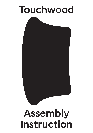## Touchwood

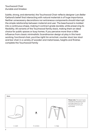Touchwood Chair *Durable and timeless*

Subtle, strong, and elemental, the Touchwood Chair reflects designer Lars Beller Fjetland's belief that interacting with natural materials is of huge importance. Neither unnecessary decorations nor extraneous components should interrupt the simple relationship between material and user. The beechwood is molded into a continuous shape, making it contract grade durable, while preserving its flexibility. All variants of the Touchwood family stack, making them an ideal choice for public spaces or busy homes. If you perceive more than a little influence from classic minimalistic Scandinavian design at play in this hardworking, functional chair, you'd be right! An armchair, counter stool, bar stool and bar chair in a variety of wooden and metal bases, heights and finishes complete the Touchwood Family

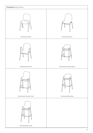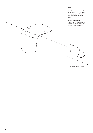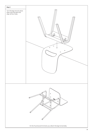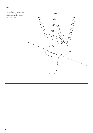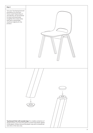